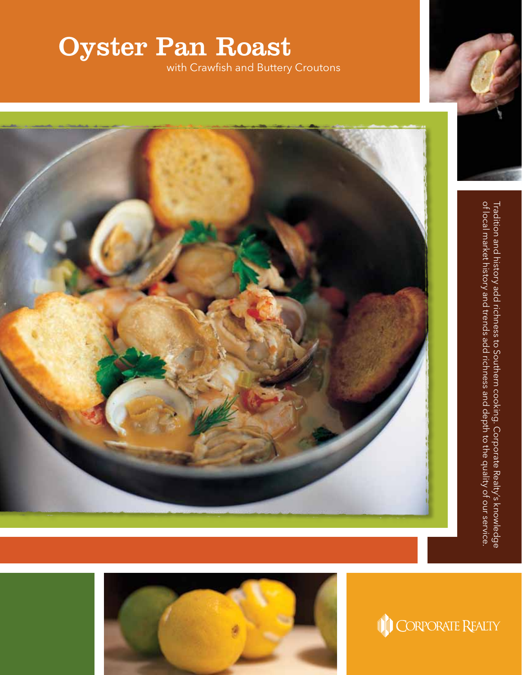## Oyster Pan Roast

with Crawfish and Buttery Croutons



Tradition and history add richness to Southern cooking. Corporate Realty's knowledge<br>of local market history and trends add richness and depth to the quality of our service. of local market history and trends add richness and depth to the quality of our service. Tradition and history add richness to Southern cooking. Corporate Realty's knowledge